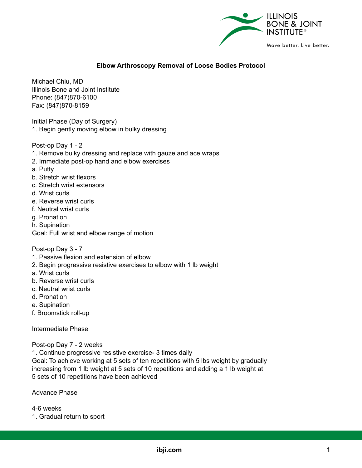

## **Elbow Arthroscopy Removal of Loose Bodies Protocol**

Michael Chiu, MD Illinois Bone and Joint Institute Phone: (847)870-6100 Fax: (847)870-8159

Initial Phase (Day of Surgery) 1. Begin gently moving elbow in bulky dressing

Post-op Day 1 - 2

- 1. Remove bulky dressing and replace with gauze and ace wraps
- 2. Immediate post-op hand and elbow exercises
- a. Putty
- b. Stretch wrist flexors
- c. Stretch wrist extensors
- d. Wrist curls
- e. Reverse wrist curls
- f. Neutral wrist curls
- g. Pronation
- h. Supination
- Goal: Full wrist and elbow range of motion

Post-op Day 3 - 7

- 1. Passive flexion and extension of elbow
- 2. Begin progressive resistive exercises to elbow with 1 lb weight
- a. Wrist curls
- b. Reverse wrist curls
- c. Neutral wrist curls
- d. Pronation
- e. Supination
- f. Broomstick roll-up

Intermediate Phase

Post-op Day 7 - 2 weeks

1. Continue progressive resistive exercise- 3 times daily

Goal: To achieve working at 5 sets of ten repetitions with 5 lbs weight by gradually increasing from 1 lb weight at 5 sets of 10 repetitions and adding a 1 lb weight at 5 sets of 10 repetitions have been achieved

Advance Phase

4-6 weeks

1. Gradual return to sport